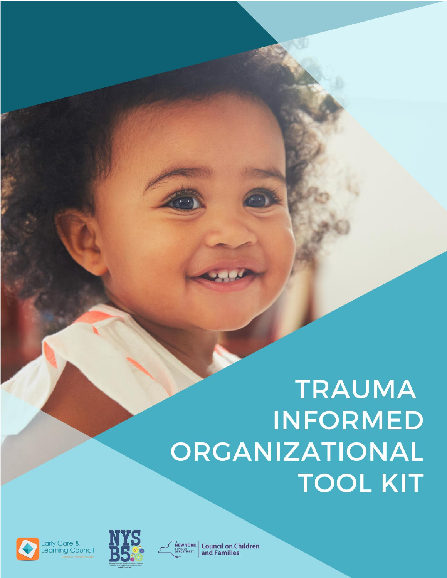# **TRAUMA INFORMED** ORGANIZATIONAL **TOOL KIT**







**Council on Children** and Families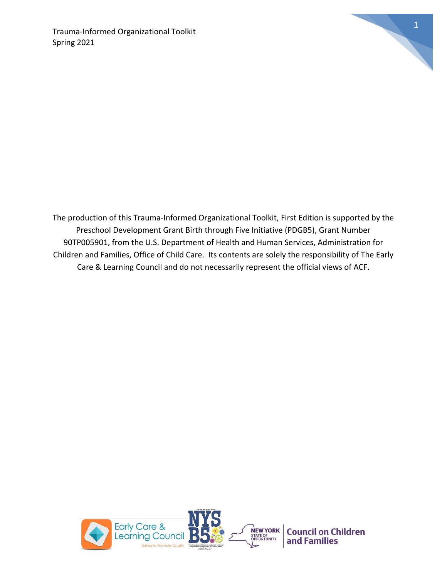

The production of this Trauma-Informed Organizational Toolkit, First Edition is supported by the Preschool Development Grant Birth through Five Initiative (PDGB5), Grant Number 90TP005901, from the U.S. Department of Health and Human Services, Administration for Children and Families, Office of Child Care. Its contents are solely the responsibility of The Early Care & Learning Council and do not necessarily represent the official views of ACF.

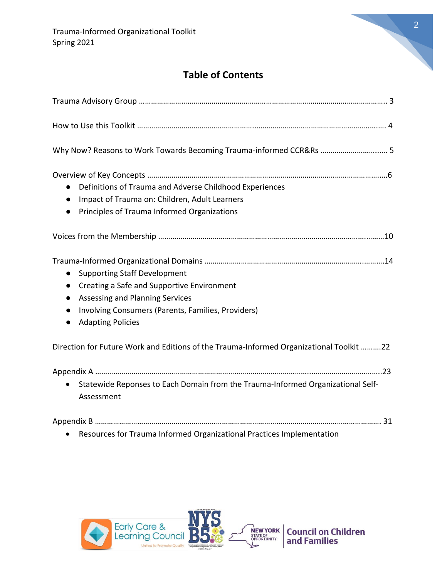

# **Table of Contents**

| Why Now? Reasons to Work Towards Becoming Trauma-informed CCR&Rs  5                                                                                                                                                                                                     |
|-------------------------------------------------------------------------------------------------------------------------------------------------------------------------------------------------------------------------------------------------------------------------|
| Definitions of Trauma and Adverse Childhood Experiences<br>$\bullet$<br>Impact of Trauma on: Children, Adult Learners<br>$\bullet$<br>Principles of Trauma Informed Organizations<br>$\bullet$                                                                          |
|                                                                                                                                                                                                                                                                         |
| <b>Supporting Staff Development</b><br>$\bullet$<br>Creating a Safe and Supportive Environment<br>$\bullet$<br>Assessing and Planning Services<br>$\bullet$<br>Involving Consumers (Parents, Families, Providers)<br>$\bullet$<br><b>Adapting Policies</b><br>$\bullet$ |
| Direction for Future Work and Editions of the Trauma-Informed Organizational Toolkit 22                                                                                                                                                                                 |
| Statewide Reponses to Each Domain from the Trauma-Informed Organizational Self-<br>$\bullet$<br>Assessment                                                                                                                                                              |
| Resources for Trauma Informed Organizational Practices Implementation<br>$\bullet$                                                                                                                                                                                      |

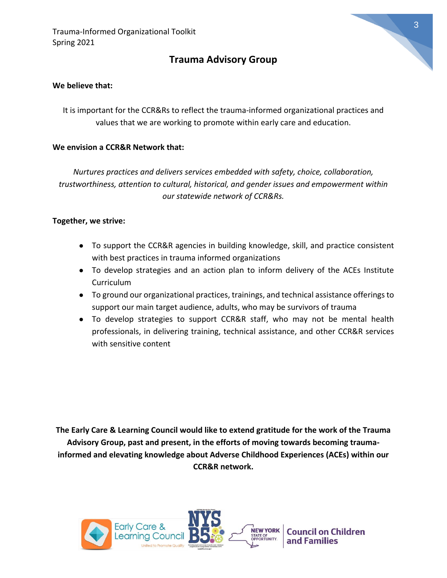# **Trauma Advisory Group**

#### **We believe that:**

It is important for the CCR&Rs to reflect the trauma-informed organizational practices and values that we are working to promote within early care and education.

#### **We envision a CCR&R Network that:**

*Nurtures practices and delivers services embedded with safety, choice, collaboration, trustworthiness, attention to cultural, historical, and gender issues and empowerment within our statewide network of CCR&Rs.*

#### **Together, we strive:**

- To support the CCR&R agencies in building knowledge, skill, and practice consistent with best practices in trauma informed organizations
- To develop strategies and an action plan to inform delivery of the ACEs Institute Curriculum
- To ground our organizational practices, trainings, and technical assistance offerings to support our main target audience, adults, who may be survivors of trauma
- To develop strategies to support CCR&R staff, who may not be mental health professionals, in delivering training, technical assistance, and other CCR&R services with sensitive content

**The Early Care & Learning Council would like to extend gratitude for the work of the Trauma Advisory Group, past and present, in the efforts of moving towards becoming traumainformed and elevating knowledge about Adverse Childhood Experiences (ACEs) within our CCR&R network.** 

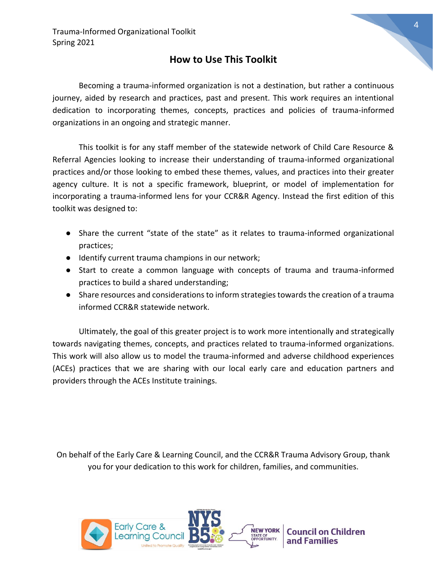## **How to Use This Toolkit**

Becoming a trauma-informed organization is not a destination, but rather a continuous journey, aided by research and practices, past and present. This work requires an intentional dedication to incorporating themes, concepts, practices and policies of trauma-informed organizations in an ongoing and strategic manner.

This toolkit is for any staff member of the statewide network of Child Care Resource & Referral Agencies looking to increase their understanding of trauma-informed organizational practices and/or those looking to embed these themes, values, and practices into their greater agency culture. It is not a specific framework, blueprint, or model of implementation for incorporating a trauma-informed lens for your CCR&R Agency. Instead the first edition of this toolkit was designed to:

- Share the current "state of the state" as it relates to trauma-informed organizational practices;
- Identify current trauma champions in our network;
- Start to create a common language with concepts of trauma and trauma-informed practices to build a shared understanding;
- Share resources and considerations to inform strategies towards the creation of a trauma informed CCR&R statewide network.

Ultimately, the goal of this greater project is to work more intentionally and strategically towards navigating themes, concepts, and practices related to trauma-informed organizations. This work will also allow us to model the trauma-informed and adverse childhood experiences (ACEs) practices that we are sharing with our local early care and education partners and providers through the ACEs Institute trainings.

On behalf of the Early Care & Learning Council, and the CCR&R Trauma Advisory Group, thank you for your dedication to this work for children, families, and communities.

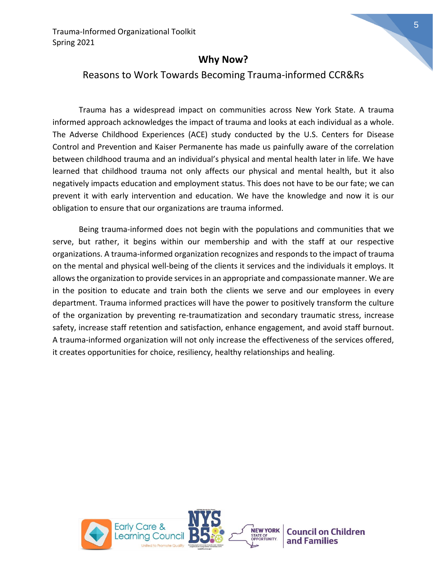## **Why Now?**

### Reasons to Work Towards Becoming Trauma-informed CCR&Rs

Trauma has a widespread impact on communities across New York State. A trauma informed approach acknowledges the impact of trauma and looks at each individual as a whole. The Adverse Childhood Experiences (ACE) study conducted by the U.S. Centers for Disease Control and Prevention and Kaiser Permanente has made us painfully aware of the correlation between childhood trauma and an individual's physical and mental health later in life. We have learned that childhood trauma not only affects our physical and mental health, but it also negatively impacts education and employment status. This does not have to be our fate; we can prevent it with early intervention and education. We have the knowledge and now it is our obligation to ensure that our organizations are trauma informed.

Being trauma-informed does not begin with the populations and communities that we serve, but rather, it begins within our membership and with the staff at our respective organizations. A trauma-informed organization recognizes and responds to the impact of trauma on the mental and physical well-being of the clients it services and the individuals it employs. It allows the organization to provide services in an appropriate and compassionate manner. We are in the position to educate and train both the clients we serve and our employees in every department. Trauma informed practices will have the power to positively transform the culture of the organization by preventing re-traumatization and secondary traumatic stress, increase safety, increase staff retention and satisfaction, enhance engagement, and avoid staff burnout. A trauma-informed organization will not only increase the effectiveness of the services offered, it creates opportunities for choice, resiliency, healthy relationships and healing.

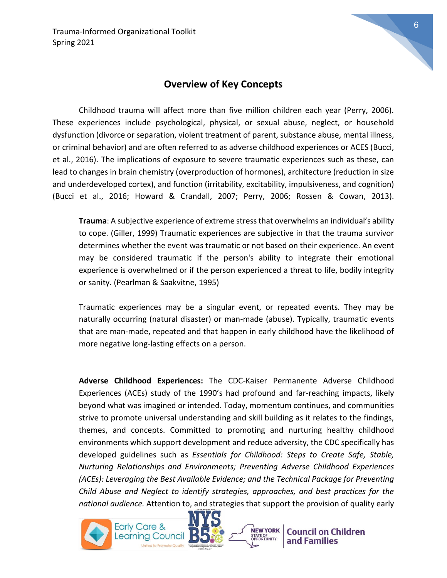## **Overview of Key Concepts**

Childhood trauma will affect more than five million children each year (Perry, 2006). These experiences include psychological, physical, or sexual abuse, neglect, or household dysfunction (divorce or separation, violent treatment of parent, substance abuse, mental illness, or criminal behavior) and are often referred to as adverse childhood experiences or ACES (Bucci, et al., 2016). The implications of exposure to severe traumatic experiences such as these, can lead to changes in brain chemistry (overproduction of hormones), architecture (reduction in size and underdeveloped cortex), and function (irritability, excitability, impulsiveness, and cognition) (Bucci et al., 2016; Howard & Crandall, 2007; Perry, 2006; Rossen & Cowan, 2013).

**Trauma**: A subjective experience of extreme stress that overwhelms an individual's ability to cope. (Giller, 1999) Traumatic experiences are subjective in that the trauma survivor determines whether the event was traumatic or not based on their experience. An event may be considered traumatic if the person's ability to integrate their emotional experience is overwhelmed or if the person experienced a threat to life, bodily integrity or sanity. (Pearlman & Saakvitne, 1995)

Traumatic experiences may be a singular event, or repeated events. They may be naturally occurring (natural disaster) or man-made (abuse). Typically, traumatic events that are man-made, repeated and that happen in early childhood have the likelihood of more negative long-lasting effects on a person.

**Adverse Childhood Experiences:** The CDC-Kaiser Permanente Adverse Childhood Experiences (ACEs) study of the 1990's had profound and far-reaching impacts, likely beyond what was imagined or intended. Today, momentum continues, and communities strive to promote universal understanding and skill building as it relates to the findings, themes, and concepts. Committed to promoting and nurturing healthy childhood environments which support development and reduce adversity, the CDC specifically has developed guidelines such as *Essentials for Childhood: Steps to Create Safe, Stable, Nurturing Relationships and Environments; Preventing Adverse Childhood Experiences (ACEs): Leveraging the Best Available Evidence; and the Technical Package for Preventing Child Abuse and Neglect to identify strategies, approaches, and best practices for the national audience.* Attention to, and strategies that support the provision of quality early

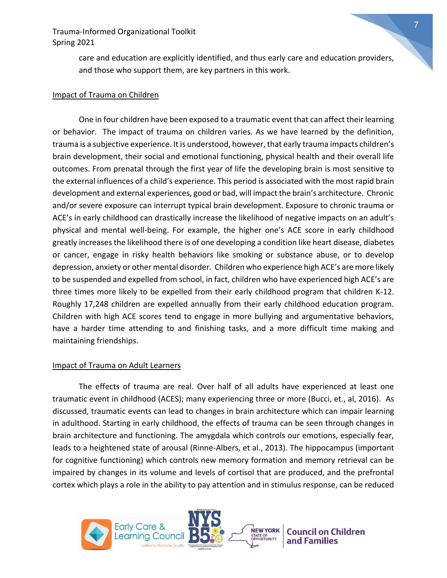> care and education are explicitly identified, and thus early care and education providers, and those who support them, are key partners in this work.

#### Impact of Trauma on Children

One in four children have been exposed to a traumatic event that can affect their learning or behavior. The impact of trauma on children varies. As we have learned by the definition, trauma is a subjective experience. It is understood, however, that early trauma impacts children's brain development, their social and emotional functioning, physical health and their overall life outcomes. From prenatal through the first year of life the developing brain is most sensitive to the external influences of a child's experience. This period is associated with the most rapid brain development and external experiences, good or bad, will impact the brain's architecture. Chronic and/or severe exposure can interrupt typical brain development. Exposure to chronic trauma or ACE's in early childhood can drastically increase the likelihood of negative impacts on an adult's physical and mental well-being. For example, the higher one's ACE score in early childhood greatly increases the likelihood there is of one developing a condition like heart disease, diabetes or cancer, engage in risky health behaviors like smoking or substance abuse, or to develop depression, anxiety or other mental disorder. Children who experience high ACE's are more likely to be suspended and expelled from school, in fact, children who have experienced high ACE's are three times more likely to be expelled from their early childhood program that children K-12. Roughly 17,248 children are expelled annually from their early childhood education program. Children with high ACE scores tend to engage in more bullying and argumentative behaviors, have a harder time attending to and finishing tasks, and a more difficult time making and maintaining friendships.

#### Impact of Trauma on Adult Learners

The effects of trauma are real. Over half of all adults have experienced at least one traumatic event in childhood (ACES); many experiencing three or more (Bucci, et., al, 2016). As discussed, traumatic events can lead to changes in brain architecture which can impair learning in adulthood. Starting in early childhood, the effects of trauma can be seen through changes in brain architecture and functioning. The amygdala which controls our emotions, especially fear, leads to a heightened state of arousal (Rinne-Albers, et al., 2013). The hippocampus (important for cognitive functioning) which controls new memory formation and memory retrieval can be impaired by changes in its volume and levels of cortisol that are produced, and the prefrontal cortex which plays a role in the ability to pay attention and in stimulus response, can be reduced

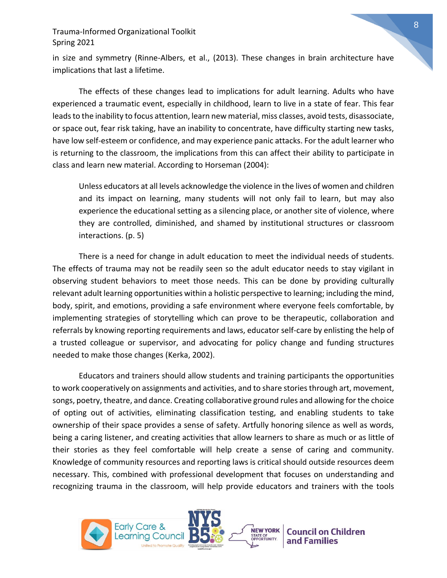in size and symmetry (Rinne-Albers, et al., (2013). These changes in brain architecture have implications that last a lifetime.

 The effects of these changes lead to implications for adult learning. Adults who have experienced a traumatic event, especially in childhood, learn to live in a state of fear. This fear leads to the inability to focus attention, learn new material, miss classes, avoid tests, disassociate, or space out, fear risk taking, have an inability to concentrate, have difficulty starting new tasks, have low self-esteem or confidence, and may experience panic attacks. For the adult learner who is returning to the classroom, the implications from this can affect their ability to participate in class and learn new material. According to Horseman (2004):

Unless educators at all levels acknowledge the violence in the lives of women and children and its impact on learning, many students will not only fail to learn, but may also experience the educational setting as a silencing place, or another site of violence, where they are controlled, diminished, and shamed by institutional structures or classroom interactions. (p. 5)

 There is a need for change in adult education to meet the individual needs of students. The effects of trauma may not be readily seen so the adult educator needs to stay vigilant in observing student behaviors to meet those needs. This can be done by providing culturally relevant adult learning opportunities within a holistic perspective to learning; including the mind, body, spirit, and emotions, providing a safe environment where everyone feels comfortable, by implementing strategies of storytelling which can prove to be therapeutic, collaboration and referrals by knowing reporting requirements and laws, educator self-care by enlisting the help of a trusted colleague or supervisor, and advocating for policy change and funding structures needed to make those changes (Kerka, 2002).

Educators and trainers should allow students and training participants the opportunities to work cooperatively on assignments and activities, and to share stories through art, movement, songs, poetry, theatre, and dance. Creating collaborative ground rules and allowing for the choice of opting out of activities, eliminating classification testing, and enabling students to take ownership of their space provides a sense of safety. Artfully honoring silence as well as words, being a caring listener, and creating activities that allow learners to share as much or as little of their stories as they feel comfortable will help create a sense of caring and community. Knowledge of community resources and reporting laws is critical should outside resources deem necessary. This, combined with professional development that focuses on understanding and recognizing trauma in the classroom, will help provide educators and trainers with the tools

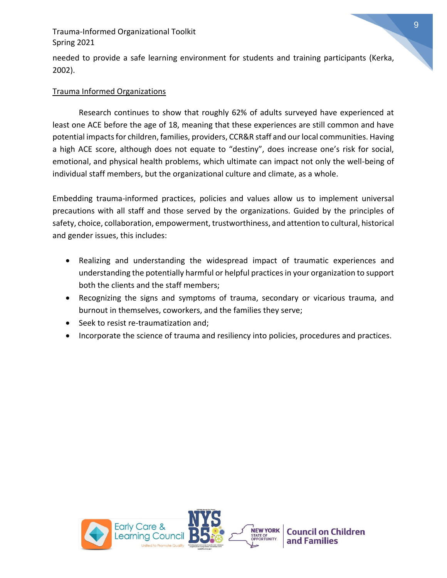needed to provide a safe learning environment for students and training participants (Kerka, 2002).

#### Trauma Informed Organizations

Research continues to show that roughly 62% of adults surveyed have experienced at least one ACE before the age of 18, meaning that these experiences are still common and have potential impacts for children, families, providers, CCR&R staff and our local communities. Having a high ACE score, although does not equate to "destiny", does increase one's risk for social, emotional, and physical health problems, which ultimate can impact not only the well-being of individual staff members, but the organizational culture and climate, as a whole.

Embedding trauma-informed practices, policies and values allow us to implement universal precautions with all staff and those served by the organizations. Guided by the principles of safety, choice, collaboration, empowerment, trustworthiness, and attention to cultural, historical and gender issues, this includes:

- Realizing and understanding the widespread impact of traumatic experiences and understanding the potentially harmful or helpful practices in your organization to support both the clients and the staff members;
- Recognizing the signs and symptoms of trauma, secondary or vicarious trauma, and burnout in themselves, coworkers, and the families they serve;
- Seek to resist re-traumatization and;
- Incorporate the science of trauma and resiliency into policies, procedures and practices.

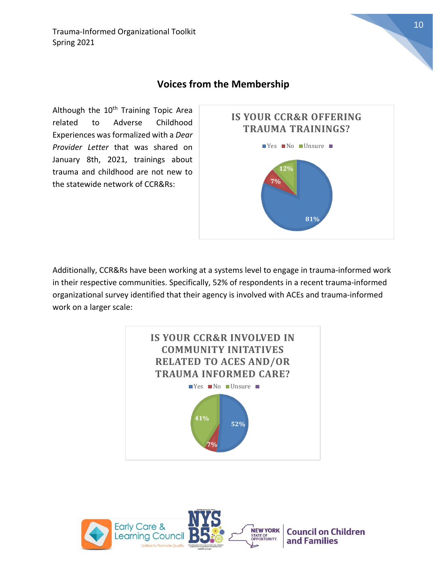## **Voices from the Membership**

Although the 10<sup>th</sup> Training Topic Area related to Adverse Childhood Experiences was formalized with a *Dear Provider Letter* that was shared on January 8th, 2021, trainings about trauma and childhood are not new to the statewide network of CCR&Rs:



Additionally, CCR&Rs have been working at a systems level to engage in trauma-informed work in their respective communities. Specifically, 52% of respondents in a recent trauma-informed organizational survey identified that their agency is involved with ACEs and trauma-informed work on a larger scale:



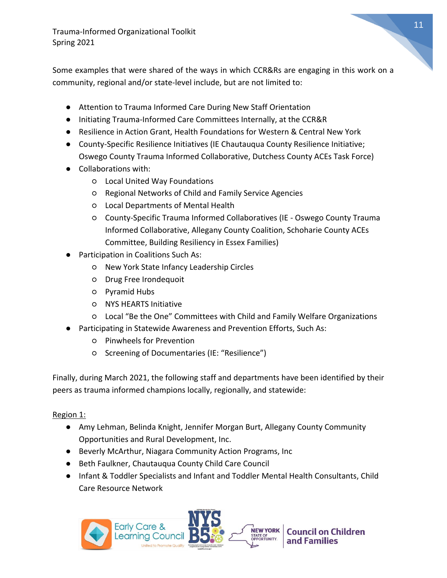Some examples that were shared of the ways in which CCR&Rs are engaging in this work on a community, regional and/or state-level include, but are not limited to:

- Attention to Trauma Informed Care During New Staff Orientation
- Initiating Trauma-Informed Care Committees Internally, at the CCR&R
- Resilience in Action Grant, Health Foundations for Western & Central New York
- County-Specific Resilience Initiatives (IE Chautauqua County Resilience Initiative; Oswego County Trauma Informed Collaborative, Dutchess County ACEs Task Force)
- Collaborations with:
	- Local United Way Foundations
	- Regional Networks of Child and Family Service Agencies
	- Local Departments of Mental Health
	- County-Specific Trauma Informed Collaboratives (IE Oswego County Trauma Informed Collaborative, Allegany County Coalition, Schoharie County ACEs Committee, Building Resiliency in Essex Families)
- Participation in Coalitions Such As:
	- New York State Infancy Leadership Circles
	- Drug Free Irondequoit
	- Pyramid Hubs
	- NYS HEARTS Initiative
	- Local "Be the One" Committees with Child and Family Welfare Organizations
- Participating in Statewide Awareness and Prevention Efforts, Such As:
	- Pinwheels for Prevention
	- Screening of Documentaries (IE: "Resilience")

Finally, during March 2021, the following staff and departments have been identified by their peers as trauma informed champions locally, regionally, and statewide:

#### Region 1:

- Amy Lehman, Belinda Knight, Jennifer Morgan Burt, Allegany County Community Opportunities and Rural Development, Inc.
- Beverly McArthur, Niagara Community Action Programs, Inc
- Beth Faulkner, Chautauqua County Child Care Council
- Infant & Toddler Specialists and Infant and Toddler Mental Health Consultants, Child Care Resource Network

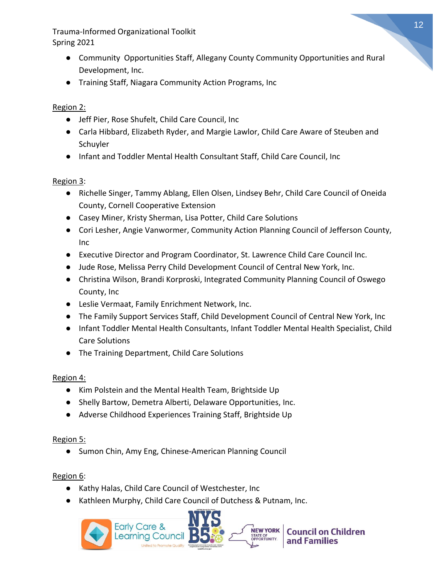- Community Opportunities Staff, Allegany County Community Opportunities and Rural Development, Inc.
- Training Staff, Niagara Community Action Programs, Inc

#### Region 2:

- Jeff Pier, Rose Shufelt, Child Care Council, Inc
- Carla Hibbard, Elizabeth Ryder, and Margie Lawlor, Child Care Aware of Steuben and Schuyler
- Infant and Toddler Mental Health Consultant Staff, Child Care Council, Inc

#### Region 3:

- Richelle Singer, Tammy Ablang, Ellen Olsen, Lindsey Behr, Child Care Council of Oneida County, Cornell Cooperative Extension
- Casey Miner, Kristy Sherman, Lisa Potter, Child Care Solutions
- Cori Lesher, Angie Vanwormer, Community Action Planning Council of Jefferson County, Inc
- Executive Director and Program Coordinator, St. Lawrence Child Care Council Inc.
- Jude Rose, Melissa Perry Child Development Council of Central New York, Inc.
- Christina Wilson, Brandi Korproski, Integrated Community Planning Council of Oswego County, Inc
- Leslie Vermaat, Family Enrichment Network, Inc.
- The Family Support Services Staff, Child Development Council of Central New York, Inc
- Infant Toddler Mental Health Consultants, Infant Toddler Mental Health Specialist, Child Care Solutions
- The Training Department, Child Care Solutions

#### Region 4:

- Kim Polstein and the Mental Health Team, Brightside Up
- Shelly Bartow, Demetra Alberti, Delaware Opportunities, Inc.
- Adverse Childhood Experiences Training Staff, Brightside Up

#### Region 5:

● Sumon Chin, Amy Eng, Chinese-American Planning Council

#### Region 6:

- Kathy Halas, Child Care Council of Westchester, Inc
- Kathleen Murphy, Child Care Council of Dutchess & Putnam, Inc.

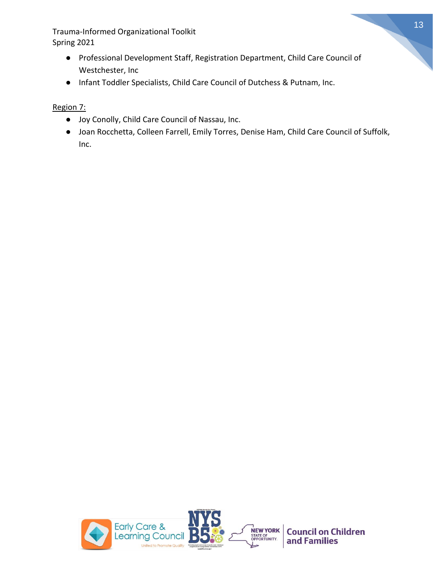- Professional Development Staff, Registration Department, Child Care Council of Westchester, Inc
- Infant Toddler Specialists, Child Care Council of Dutchess & Putnam, Inc.

Region 7:

- Joy Conolly, Child Care Council of Nassau, Inc.
- Joan Rocchetta, Colleen Farrell, Emily Torres, Denise Ham, Child Care Council of Suffolk, Inc.

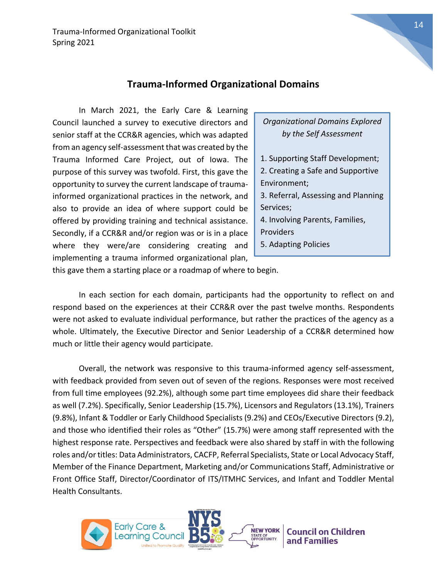#### **Trauma-Informed Organizational Domains**

In March 2021, the Early Care & Learning Council launched a survey to executive directors and senior staff at the CCR&R agencies, which was adapted from an agency self-assessment that was created by the Trauma Informed Care Project, out of Iowa. The purpose of this survey was twofold. First, this gave the opportunity to survey the current landscape of traumainformed organizational practices in the network, and also to provide an idea of where support could be offered by providing training and technical assistance. Secondly, if a CCR&R and/or region was or is in a place where they were/are considering creating and implementing a trauma informed organizational plan,

*Organizational Domains Explored by the Self Assessment*

- 1. Supporting Staff Development; 2. Creating a Safe and Supportive Environment;
- 3. Referral, Assessing and Planning Services;
- 4. Involving Parents, Families, Providers
- 5. Adapting Policies

this gave them a starting place or a roadmap of where to begin.

In each section for each domain, participants had the opportunity to reflect on and respond based on the experiences at their CCR&R over the past twelve months. Respondents were not asked to evaluate individual performance, but rather the practices of the agency as a whole. Ultimately, the Executive Director and Senior Leadership of a CCR&R determined how much or little their agency would participate.

Overall, the network was responsive to this trauma-informed agency self-assessment, with feedback provided from seven out of seven of the regions. Responses were most received from full time employees (92.2%), although some part time employees did share their feedback as well (7.2%). Specifically, Senior Leadership (15.7%), Licensors and Regulators (13.1%), Trainers (9.8%), Infant & Toddler or Early Childhood Specialists (9.2%) and CEOs/Executive Directors (9.2), and those who identified their roles as "Other" (15.7%) were among staff represented with the highest response rate. Perspectives and feedback were also shared by staff in with the following roles and/or titles: Data Administrators, CACFP, Referral Specialists, State or Local Advocacy Staff, Member of the Finance Department, Marketing and/or Communications Staff, Administrative or Front Office Staff, Director/Coordinator of ITS/ITMHC Services, and Infant and Toddler Mental Health Consultants.

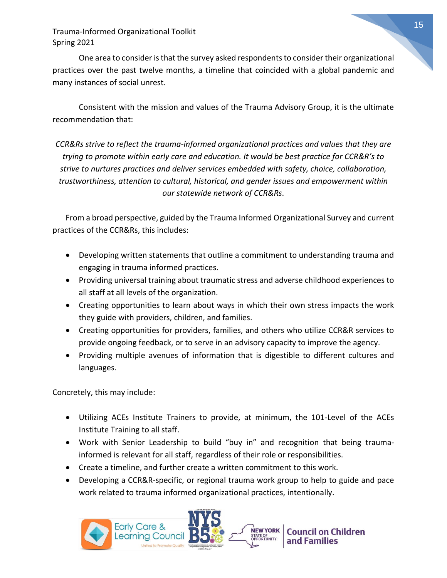One area to consider is that the survey asked respondents to consider their organizational practices over the past twelve months, a timeline that coincided with a global pandemic and many instances of social unrest.

Consistent with the mission and values of the Trauma Advisory Group, it is the ultimate recommendation that:

*CCR&Rs strive to reflect the trauma-informed organizational practices and values that they are trying to promote within early care and education. It would be best practice for CCR&R's to strive to nurtures practices and deliver services embedded with safety, choice, collaboration, trustworthiness, attention to cultural, historical, and gender issues and empowerment within our statewide network of CCR&Rs*.

From a broad perspective, guided by the Trauma Informed Organizational Survey and current practices of the CCR&Rs, this includes:

- Developing written statements that outline a commitment to understanding trauma and engaging in trauma informed practices.
- Providing universal training about traumatic stress and adverse childhood experiences to all staff at all levels of the organization.
- Creating opportunities to learn about ways in which their own stress impacts the work they guide with providers, children, and families.
- Creating opportunities for providers, families, and others who utilize CCR&R services to provide ongoing feedback, or to serve in an advisory capacity to improve the agency.
- Providing multiple avenues of information that is digestible to different cultures and languages.

Concretely, this may include:

- Utilizing ACEs Institute Trainers to provide, at minimum, the 101-Level of the ACEs Institute Training to all staff.
- Work with Senior Leadership to build "buy in" and recognition that being traumainformed is relevant for all staff, regardless of their role or responsibilities.
- Create a timeline, and further create a written commitment to this work.
- Developing a CCR&R-specific, or regional trauma work group to help to guide and pace work related to trauma informed organizational practices, intentionally.

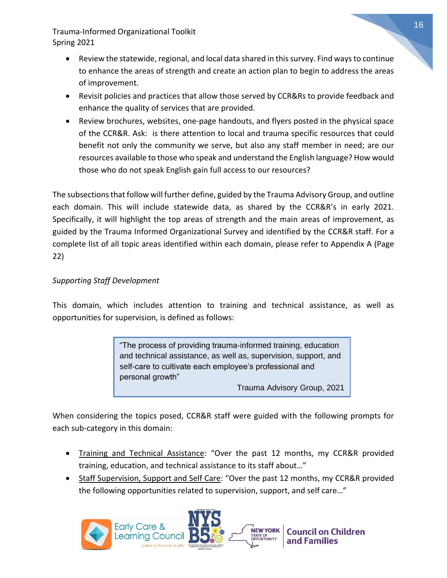- Review the statewide, regional, and local data shared in this survey. Find ways to continue to enhance the areas of strength and create an action plan to begin to address the areas of improvement.
- Revisit policies and practices that allow those served by CCR&Rs to provide feedback and enhance the quality of services that are provided.
- Review brochures, websites, one-page handouts, and flyers posted in the physical space of the CCR&R. Ask: is there attention to local and trauma specific resources that could benefit not only the community we serve, but also any staff member in need; are our resources available to those who speak and understand the English language? How would those who do not speak English gain full access to our resources?

The subsections that follow will further define, guided by the Trauma Advisory Group, and outline each domain. This will include statewide data, as shared by the CCR&R's in early 2021. Specifically, it will highlight the top areas of strength and the main areas of improvement, as guided by the Trauma Informed Organizational Survey and identified by the CCR&R staff. For a complete list of all topic areas identified within each domain, please refer to Appendix A (Page 22)

#### *Supporting Staff Development*

This domain, which includes attention to training and technical assistance, as well as opportunities for supervision, is defined as follows:

> "The process of providing trauma-informed training, education and technical assistance, as well as, supervision, support, and self-care to cultivate each employee's professional and personal growth"

Trauma Advisory Group, 2021

When considering the topics posed, CCR&R staff were guided with the following prompts for each sub-category in this domain:

- Training and Technical Assistance: "Over the past 12 months, my CCR&R provided training, education, and technical assistance to its staff about…"
- Staff Supervision, Support and Self Care: "Over the past 12 months, my CCR&R provided the following opportunities related to supervision, support, and self care…"

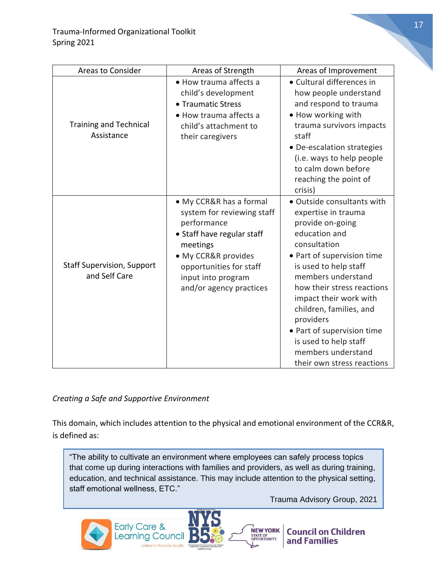| Areas to Consider                                  | Areas of Strength                                                                                                                                                                                                 | Areas of Improvement                                                                                                                                                                                                                                                                                                                                                                           |
|----------------------------------------------------|-------------------------------------------------------------------------------------------------------------------------------------------------------------------------------------------------------------------|------------------------------------------------------------------------------------------------------------------------------------------------------------------------------------------------------------------------------------------------------------------------------------------------------------------------------------------------------------------------------------------------|
| <b>Training and Technical</b><br>Assistance        | • How trauma affects a<br>child's development<br>• Traumatic Stress<br>• How trauma affects a<br>child's attachment to<br>their caregivers                                                                        | • Cultural differences in<br>how people understand<br>and respond to trauma<br>• How working with<br>trauma survivors impacts<br>staff<br>• De-escalation strategies<br>(i.e. ways to help people<br>to calm down before<br>reaching the point of<br>crisis)                                                                                                                                   |
| <b>Staff Supervision, Support</b><br>and Self Care | • My CCR&R has a formal<br>system for reviewing staff<br>performance<br>• Staff have regular staff<br>meetings<br>• My CCR&R provides<br>opportunities for staff<br>input into program<br>and/or agency practices | · Outside consultants with<br>expertise in trauma<br>provide on-going<br>education and<br>consultation<br>• Part of supervision time<br>is used to help staff<br>members understand<br>how their stress reactions<br>impact their work with<br>children, families, and<br>providers<br>• Part of supervision time<br>is used to help staff<br>members understand<br>their own stress reactions |

#### *Creating a Safe and Supportive Environment*

This domain, which includes attention to the physical and emotional environment of the CCR&R, is defined as:

"The ability to cultivate an environment where employees can safely process topics that come up during interactions with families and providers, as well as during training, education, and technical assistance. This may include attention to the physical setting, staff emotional wellness, ETC."

Trauma Advisory Group, 2021

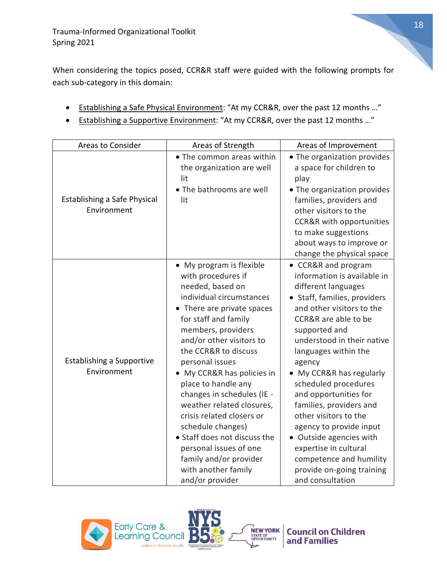When considering the topics posed, CCR&R staff were guided with the following prompts for each sub-category in this domain:

- Establishing a Safe Physical Environment: "At my CCR&R, over the past 12 months …"
- Establishing a Supportive Environment: "At my CCR&R, over the past 12 months …"

| Areas to Consider                               | Areas of Strength                                                                                                                                                                                                                                                                                                                                                                                                                                                                                                                                 | Areas of Improvement                                                                                                                                                                                                                                                                                                                                                                                                                                                                                                                        |
|-------------------------------------------------|---------------------------------------------------------------------------------------------------------------------------------------------------------------------------------------------------------------------------------------------------------------------------------------------------------------------------------------------------------------------------------------------------------------------------------------------------------------------------------------------------------------------------------------------------|---------------------------------------------------------------------------------------------------------------------------------------------------------------------------------------------------------------------------------------------------------------------------------------------------------------------------------------------------------------------------------------------------------------------------------------------------------------------------------------------------------------------------------------------|
| Establishing a Safe Physical<br>Environment     | • The common areas within<br>the organization are well<br>lit<br>• The bathrooms are well<br>lit                                                                                                                                                                                                                                                                                                                                                                                                                                                  | • The organization provides<br>a space for children to<br>play<br>• The organization provides<br>families, providers and<br>other visitors to the<br><b>CCR&amp;R</b> with opportunities<br>to make suggestions<br>about ways to improve or<br>change the physical space                                                                                                                                                                                                                                                                    |
| <b>Establishing a Supportive</b><br>Environment | • My program is flexible<br>with procedures if<br>needed, based on<br>individual circumstances<br>• There are private spaces<br>for staff and family<br>members, providers<br>and/or other visitors to<br>the CCR&R to discuss<br>personal issues<br>• My CCR&R has policies in<br>place to handle any<br>changes in schedules (IE -<br>weather related closures,<br>crisis related closers or<br>schedule changes)<br>• Staff does not discuss the<br>personal issues of one<br>family and/or provider<br>with another family<br>and/or provider | • CCR&R and program<br>information is available in<br>different languages<br>• Staff, families, providers<br>and other visitors to the<br>CCR&R are able to be<br>supported and<br>understood in their native<br>languages within the<br>agency<br>• My CCR&R has regularly<br>scheduled procedures<br>and opportunities for<br>families, providers and<br>other visitors to the<br>agency to provide input<br>• Outside agencies with<br>expertise in cultural<br>competence and humility<br>provide on-going training<br>and consultation |

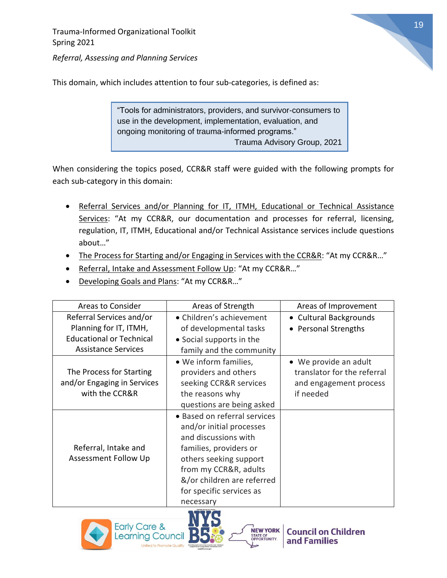

*Referral, Assessing and Planning Services*

This domain, which includes attention to four sub-categories, is defined as:

"Tools for administrators, providers, and survivor-consumers to use in the development, implementation, evaluation, and ongoing monitoring of trauma-informed programs." Trauma Advisory Group, 2021

When considering the topics posed, CCR&R staff were guided with the following prompts for each sub-category in this domain:

- Referral Services and/or Planning for IT, ITMH, Educational or Technical Assistance Services: "At my CCR&R, our documentation and processes for referral, licensing, regulation, IT, ITMH, Educational and/or Technical Assistance services include questions about…"
- The Process for Starting and/or Engaging in Services with the CCR&R: "At my CCR&R..."
- Referral, Intake and Assessment Follow Up: "At my CCR&R..."
- Developing Goals and Plans: "At my CCR&R…"

| <b>Areas to Consider</b>        | Areas of Strength            | Areas of Improvement        |
|---------------------------------|------------------------------|-----------------------------|
| Referral Services and/or        | • Children's achievement     | • Cultural Backgrounds      |
| Planning for IT, ITMH,          | of developmental tasks       | • Personal Strengths        |
| <b>Educational or Technical</b> | • Social supports in the     |                             |
| <b>Assistance Services</b>      | family and the community     |                             |
|                                 | • We inform families,        | • We provide an adult       |
| The Process for Starting        | providers and others         | translator for the referral |
| and/or Engaging in Services     | seeking CCR&R services       | and engagement process      |
| with the CCR&R                  | the reasons why              | if needed                   |
|                                 | questions are being asked    |                             |
|                                 | • Based on referral services |                             |
|                                 | and/or initial processes     |                             |
|                                 | and discussions with         |                             |
| Referral, Intake and            | families, providers or       |                             |
| Assessment Follow Up            | others seeking support       |                             |
|                                 | from my CCR&R, adults        |                             |
|                                 | &/or children are referred   |                             |
|                                 | for specific services as     |                             |
|                                 | necessary                    |                             |





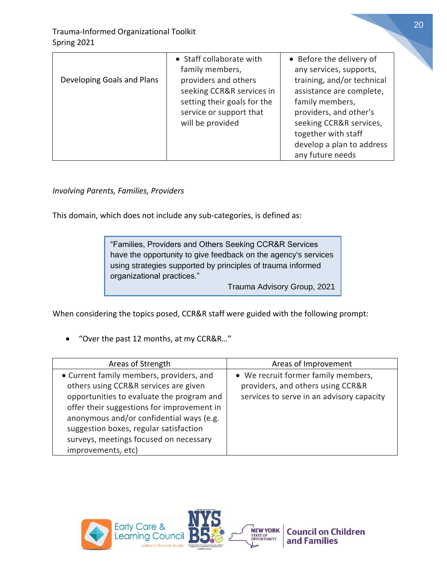|                            | • Staff collaborate with    | • Before the delivery of   |
|----------------------------|-----------------------------|----------------------------|
|                            | family members,             | any services, supports,    |
| Developing Goals and Plans | providers and others        | training, and/or technical |
|                            | seeking CCR&R services in   | assistance are complete,   |
|                            | setting their goals for the | family members,            |
|                            | service or support that     | providers, and other's     |
|                            | will be provided            | seeking CCR&R services,    |
|                            |                             | together with staff        |
|                            |                             | develop a plan to address  |
|                            |                             | any future needs           |

*Involving Parents, Families, Providers*

This domain, which does not include any sub-categories, is defined as:

"Families, Providers and Others Seeking CCR&R Services have the opportunity to give feedback on the agency's services using strategies supported by principles of trauma informed organizational practices." Trauma Advisory Group, 2021

When considering the topics posed, CCR&R staff were guided with the following prompt:

• "Over the past 12 months, at my CCR&R…"

| Areas of Strength                                                                                                                                                                                                                                                                                                                  | Areas of Improvement                                                                                                  |
|------------------------------------------------------------------------------------------------------------------------------------------------------------------------------------------------------------------------------------------------------------------------------------------------------------------------------------|-----------------------------------------------------------------------------------------------------------------------|
| • Current family members, providers, and<br>others using CCR&R services are given<br>opportunities to evaluate the program and<br>offer their suggestions for improvement in<br>anonymous and/or confidential ways (e.g.<br>suggestion boxes, regular satisfaction<br>surveys, meetings focused on necessary<br>improvements, etc) | • We recruit former family members,<br>providers, and others using CCR&R<br>services to serve in an advisory capacity |

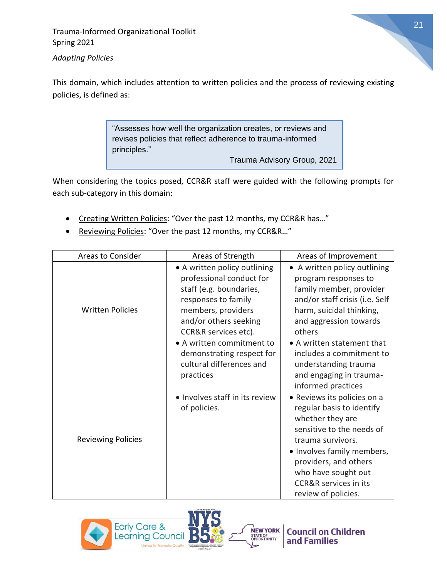

*Adapting Policies* 

This domain, which includes attention to written policies and the process of reviewing existing policies, is defined as:

> "Assesses how well the organization creates, or reviews and revises policies that reflect adherence to trauma-informed principles."

> > Trauma Advisory Group, 2021

When considering the topics posed, CCR&R staff were guided with the following prompts for each sub-category in this domain:

- Creating Written Policies: "Over the past 12 months, my CCR&R has…"
- Reviewing Policies: "Over the past 12 months, my CCR&R…"

| Areas to Consider         | Areas of Strength                                                                                                                                                                                                                                                                    | Areas of Improvement                                                                                                                                                                                                                                                                                                 |
|---------------------------|--------------------------------------------------------------------------------------------------------------------------------------------------------------------------------------------------------------------------------------------------------------------------------------|----------------------------------------------------------------------------------------------------------------------------------------------------------------------------------------------------------------------------------------------------------------------------------------------------------------------|
| <b>Written Policies</b>   | • A written policy outlining<br>professional conduct for<br>staff (e.g. boundaries,<br>responses to family<br>members, providers<br>and/or others seeking<br>CCR&R services etc).<br>• A written commitment to<br>demonstrating respect for<br>cultural differences and<br>practices | • A written policy outlining<br>program responses to<br>family member, provider<br>and/or staff crisis (i.e. Self<br>harm, suicidal thinking,<br>and aggression towards<br>others<br>• A written statement that<br>includes a commitment to<br>understanding trauma<br>and engaging in trauma-<br>informed practices |
| <b>Reviewing Policies</b> | • Involves staff in its review<br>of policies.                                                                                                                                                                                                                                       | • Reviews its policies on a<br>regular basis to identify<br>whether they are<br>sensitive to the needs of<br>trauma survivors.<br>• Involves family members,<br>providers, and others<br>who have sought out<br><b>CCR&amp;R services in its</b><br>review of policies.                                              |



**Council on Children** and Families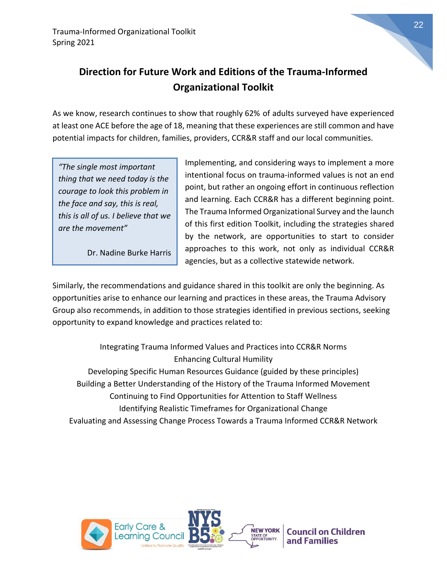

22

# **Direction for Future Work and Editions of the Trauma-Informed Organizational Toolkit**

As we know, research continues to show that roughly 62% of adults surveyed have experienced at least one ACE before the age of 18, meaning that these experiences are still common and have potential impacts for children, families, providers, CCR&R staff and our local communities.

*"The single most important thing that we need today is the courage to look this problem in the face and say, this is real, this is all of us. I believe that we are the movement"*

Dr. Nadine Burke Harris

Implementing, and considering ways to implement a more intentional focus on trauma-informed values is not an end point, but rather an ongoing effort in continuous reflection and learning. Each CCR&R has a different beginning point. The Trauma Informed Organizational Survey and the launch of this first edition Toolkit, including the strategies shared by the network, are opportunities to start to consider approaches to this work, not only as individual CCR&R agencies, but as a collective statewide network.

Similarly, the recommendations and guidance shared in this toolkit are only the beginning. As opportunities arise to enhance our learning and practices in these areas, the Trauma Advisory Group also recommends, in addition to those strategies identified in previous sections, seeking opportunity to expand knowledge and practices related to:

Integrating Trauma Informed Values and Practices into CCR&R Norms Enhancing Cultural Humility Developing Specific Human Resources Guidance (guided by these principles) Building a Better Understanding of the History of the Trauma Informed Movement Continuing to Find Opportunities for Attention to Staff Wellness Identifying Realistic Timeframes for Organizational Change Evaluating and Assessing Change Process Towards a Trauma Informed CCR&R Network

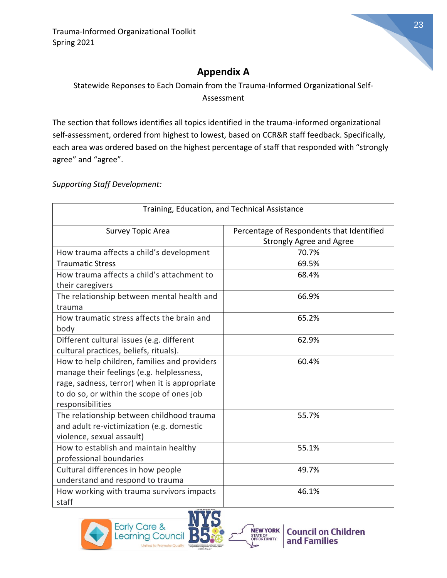

# **Appendix A**

Statewide Reponses to Each Domain from the Trauma-Informed Organizational Self-Assessment

The section that follows identifies all topics identified in the trauma-informed organizational self-assessment, ordered from highest to lowest, based on CCR&R staff feedback. Specifically, each area was ordered based on the highest percentage of staff that responded with "strongly agree" and "agree".

*Supporting Staff Development:*

| Training, Education, and Technical Assistance                         |                                 |  |
|-----------------------------------------------------------------------|---------------------------------|--|
| Percentage of Respondents that Identified<br><b>Survey Topic Area</b> |                                 |  |
|                                                                       | <b>Strongly Agree and Agree</b> |  |
| How trauma affects a child's development                              | 70.7%                           |  |
| <b>Traumatic Stress</b>                                               | 69.5%                           |  |
| How trauma affects a child's attachment to                            | 68.4%                           |  |
| their caregivers                                                      |                                 |  |
| The relationship between mental health and                            | 66.9%                           |  |
| trauma                                                                |                                 |  |
| How traumatic stress affects the brain and                            | 65.2%                           |  |
| body                                                                  |                                 |  |
| Different cultural issues (e.g. different                             | 62.9%                           |  |
| cultural practices, beliefs, rituals).                                |                                 |  |
| How to help children, families and providers                          | 60.4%                           |  |
| manage their feelings (e.g. helplessness,                             |                                 |  |
| rage, sadness, terror) when it is appropriate                         |                                 |  |
| to do so, or within the scope of ones job                             |                                 |  |
| responsibilities                                                      |                                 |  |
| The relationship between childhood trauma                             | 55.7%                           |  |
| and adult re-victimization (e.g. domestic                             |                                 |  |
| violence, sexual assault)                                             |                                 |  |
| How to establish and maintain healthy                                 | 55.1%                           |  |
| professional boundaries                                               |                                 |  |
| Cultural differences in how people                                    | 49.7%                           |  |
| understand and respond to trauma                                      |                                 |  |
| How working with trauma survivors impacts                             | 46.1%                           |  |
| staff                                                                 |                                 |  |



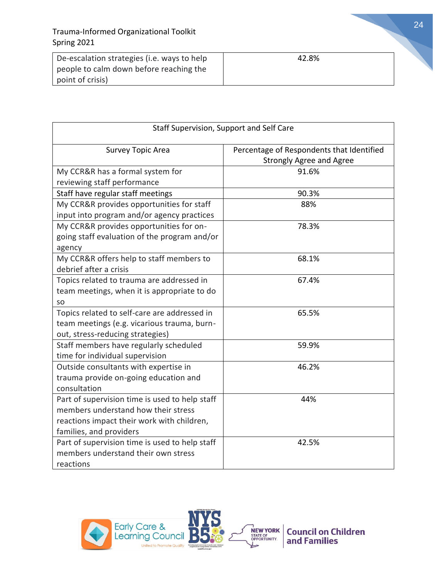| De-escalation strategies (i.e. ways to help | 42.8% |
|---------------------------------------------|-------|
| people to calm down before reaching the     |       |
| point of crisis)                            |       |

| Staff Supervision, Support and Self Care       |                                           |
|------------------------------------------------|-------------------------------------------|
| <b>Survey Topic Area</b>                       | Percentage of Respondents that Identified |
|                                                | <b>Strongly Agree and Agree</b>           |
| My CCR&R has a formal system for               | 91.6%                                     |
| reviewing staff performance                    |                                           |
| Staff have regular staff meetings              | 90.3%                                     |
| My CCR&R provides opportunities for staff      | 88%                                       |
| input into program and/or agency practices     |                                           |
| My CCR&R provides opportunities for on-        | 78.3%                                     |
| going staff evaluation of the program and/or   |                                           |
| agency                                         |                                           |
| My CCR&R offers help to staff members to       | 68.1%                                     |
| debrief after a crisis                         |                                           |
| Topics related to trauma are addressed in      | 67.4%                                     |
| team meetings, when it is appropriate to do    |                                           |
| <b>SO</b>                                      |                                           |
| Topics related to self-care are addressed in   | 65.5%                                     |
| team meetings (e.g. vicarious trauma, burn-    |                                           |
| out, stress-reducing strategies)               |                                           |
| Staff members have regularly scheduled         | 59.9%                                     |
| time for individual supervision                |                                           |
| Outside consultants with expertise in          | 46.2%                                     |
| trauma provide on-going education and          |                                           |
| consultation                                   |                                           |
| Part of supervision time is used to help staff | 44%                                       |
| members understand how their stress            |                                           |
| reactions impact their work with children,     |                                           |
| families, and providers                        |                                           |
| Part of supervision time is used to help staff | 42.5%                                     |
| members understand their own stress            |                                           |
| reactions                                      |                                           |

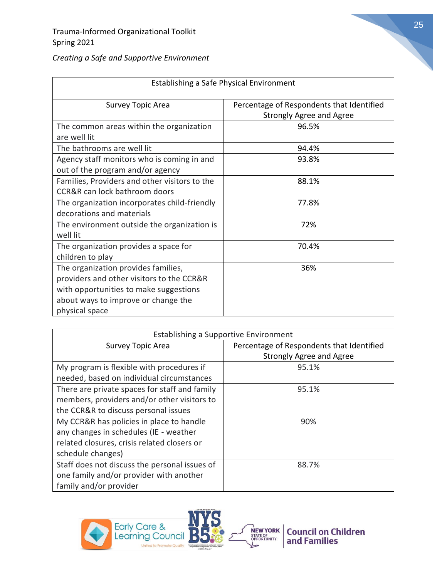| Establishing a Safe Physical Environment      |                                           |
|-----------------------------------------------|-------------------------------------------|
| <b>Survey Topic Area</b>                      | Percentage of Respondents that Identified |
|                                               | <b>Strongly Agree and Agree</b>           |
| The common areas within the organization      | 96.5%                                     |
| are well lit                                  |                                           |
| The bathrooms are well lit                    | 94.4%                                     |
| Agency staff monitors who is coming in and    | 93.8%                                     |
| out of the program and/or agency              |                                           |
| Families, Providers and other visitors to the | 88.1%                                     |
| CCR&R can lock bathroom doors                 |                                           |
| The organization incorporates child-friendly  | 77.8%                                     |
| decorations and materials                     |                                           |
| The environment outside the organization is   | 72%                                       |
| well lit                                      |                                           |
| The organization provides a space for         | 70.4%                                     |
| children to play                              |                                           |
| The organization provides families,           | 36%                                       |
| providers and other visitors to the CCR&R     |                                           |
| with opportunities to make suggestions        |                                           |
| about ways to improve or change the           |                                           |
| physical space                                |                                           |

| Creating a Safe and Supportive Environment |
|--------------------------------------------|
|--------------------------------------------|

| Establishing a Supportive Environment         |                                           |
|-----------------------------------------------|-------------------------------------------|
| Survey Topic Area                             | Percentage of Respondents that Identified |
|                                               | <b>Strongly Agree and Agree</b>           |
| My program is flexible with procedures if     | 95.1%                                     |
| needed, based on individual circumstances     |                                           |
| There are private spaces for staff and family | 95.1%                                     |
| members, providers and/or other visitors to   |                                           |
| the CCR&R to discuss personal issues          |                                           |
| My CCR&R has policies in place to handle      | 90%                                       |
| any changes in schedules (IE - weather        |                                           |
| related closures, crisis related closers or   |                                           |
| schedule changes)                             |                                           |
| Staff does not discuss the personal issues of | 88.7%                                     |
| one family and/or provider with another       |                                           |
| family and/or provider                        |                                           |

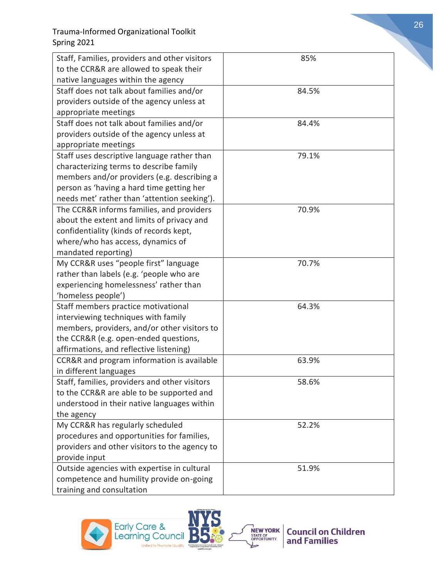| Staff, Families, providers and other visitors | 85%   |
|-----------------------------------------------|-------|
| to the CCR&R are allowed to speak their       |       |
| native languages within the agency            |       |
| Staff does not talk about families and/or     | 84.5% |
| providers outside of the agency unless at     |       |
| appropriate meetings                          |       |
| Staff does not talk about families and/or     | 84.4% |
| providers outside of the agency unless at     |       |
| appropriate meetings                          |       |
| Staff uses descriptive language rather than   | 79.1% |
| characterizing terms to describe family       |       |
| members and/or providers (e.g. describing a   |       |
| person as 'having a hard time getting her     |       |
| needs met' rather than 'attention seeking').  |       |
| The CCR&R informs families, and providers     | 70.9% |
| about the extent and limits of privacy and    |       |
| confidentiality (kinds of records kept,       |       |
| where/who has access, dynamics of             |       |
| mandated reporting)                           |       |
| My CCR&R uses "people first" language         | 70.7% |
| rather than labels (e.g. 'people who are      |       |
| experiencing homelessness' rather than        |       |
| 'homeless people')                            |       |
| Staff members practice motivational           | 64.3% |
| interviewing techniques with family           |       |
| members, providers, and/or other visitors to  |       |
| the CCR&R (e.g. open-ended questions,         |       |
| affirmations, and reflective listening)       |       |
| CCR&R and program information is available    | 63.9% |
| in different languages                        |       |
| Staff, families, providers and other visitors | 58.6% |
| to the CCR&R are able to be supported and     |       |
| understood in their native languages within   |       |
| the agency                                    |       |
| My CCR&R has regularly scheduled              | 52.2% |
| procedures and opportunities for families,    |       |
| providers and other visitors to the agency to |       |
| provide input                                 |       |
| Outside agencies with expertise in cultural   | 51.9% |
| competence and humility provide on-going      |       |
| training and consultation                     |       |

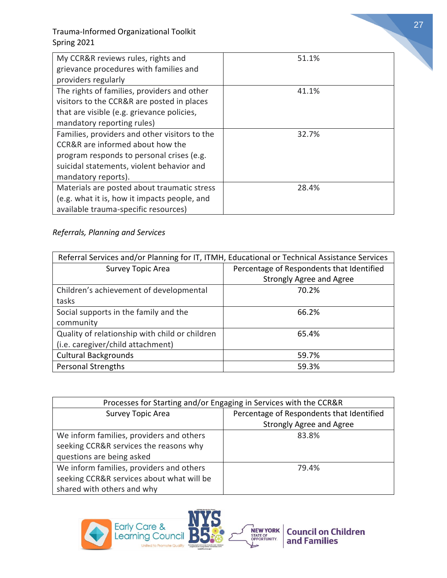| My CCR&R reviews rules, rights and<br>grievance procedures with families and<br>providers regularly                                                                                                | 51.1% |
|----------------------------------------------------------------------------------------------------------------------------------------------------------------------------------------------------|-------|
| The rights of families, providers and other<br>visitors to the CCR&R are posted in places<br>that are visible (e.g. grievance policies,<br>mandatory reporting rules)                              | 41.1% |
| Families, providers and other visitors to the<br>CCR&R are informed about how the<br>program responds to personal crises (e.g.<br>suicidal statements, violent behavior and<br>mandatory reports). | 32.7% |
| Materials are posted about traumatic stress<br>(e.g. what it is, how it impacts people, and<br>available trauma-specific resources)                                                                | 28.4% |

#### *Referrals, Planning and Services*

| Referral Services and/or Planning for IT, ITMH, Educational or Technical Assistance Services |                                           |
|----------------------------------------------------------------------------------------------|-------------------------------------------|
| <b>Survey Topic Area</b>                                                                     | Percentage of Respondents that Identified |
|                                                                                              | <b>Strongly Agree and Agree</b>           |
| Children's achievement of developmental                                                      | 70.2%                                     |
| tasks                                                                                        |                                           |
| Social supports in the family and the                                                        | 66.2%                                     |
| community                                                                                    |                                           |
| Quality of relationship with child or children                                               | 65.4%                                     |
| (i.e. caregiver/child attachment)                                                            |                                           |
| <b>Cultural Backgrounds</b>                                                                  | 59.7%                                     |
| <b>Personal Strengths</b>                                                                    | 59.3%                                     |

| Processes for Starting and/or Engaging in Services with the CCR&R |                                           |
|-------------------------------------------------------------------|-------------------------------------------|
| <b>Survey Topic Area</b>                                          | Percentage of Respondents that Identified |
|                                                                   | <b>Strongly Agree and Agree</b>           |
| We inform families, providers and others                          | 83.8%                                     |
| seeking CCR&R services the reasons why                            |                                           |
| questions are being asked                                         |                                           |
| We inform families, providers and others                          | 79.4%                                     |
| seeking CCR&R services about what will be                         |                                           |
| shared with others and why                                        |                                           |

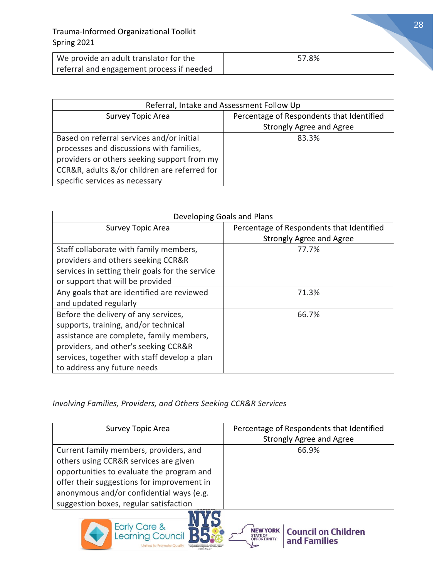| We provide an adult translator for the    | 57.8% |
|-------------------------------------------|-------|
| referral and engagement process if needed |       |

| Referral, Intake and Assessment Follow Up    |                                           |
|----------------------------------------------|-------------------------------------------|
| Survey Topic Area                            | Percentage of Respondents that Identified |
|                                              | <b>Strongly Agree and Agree</b>           |
| Based on referral services and/or initial    | 83.3%                                     |
| processes and discussions with families,     |                                           |
| providers or others seeking support from my  |                                           |
| CCR&R, adults &/or children are referred for |                                           |
| specific services as necessary               |                                           |

| Developing Goals and Plans                      |                                           |
|-------------------------------------------------|-------------------------------------------|
| <b>Survey Topic Area</b>                        | Percentage of Respondents that Identified |
|                                                 | <b>Strongly Agree and Agree</b>           |
| Staff collaborate with family members,          | 77.7%                                     |
| providers and others seeking CCR&R              |                                           |
| services in setting their goals for the service |                                           |
| or support that will be provided                |                                           |
| Any goals that are identified are reviewed      | 71.3%                                     |
| and updated regularly                           |                                           |
| Before the delivery of any services,            | 66.7%                                     |
| supports, training, and/or technical            |                                           |
| assistance are complete, family members,        |                                           |
| providers, and other's seeking CCR&R            |                                           |
| services, together with staff develop a plan    |                                           |
| to address any future needs                     |                                           |

#### *Involving Families, Providers, and Others Seeking CCR&R Services*

| <b>Survey Topic Area</b>                                                                                                                                                                                                                                         | Percentage of Respondents that Identified<br><b>Strongly Agree and Agree</b> |
|------------------------------------------------------------------------------------------------------------------------------------------------------------------------------------------------------------------------------------------------------------------|------------------------------------------------------------------------------|
| Current family members, providers, and<br>others using CCR&R services are given<br>opportunities to evaluate the program and<br>offer their suggestions for improvement in<br>anonymous and/or confidential ways (e.g.<br>suggestion boxes, regular satisfaction | 66.9%                                                                        |



**Council on Children**<br>and Families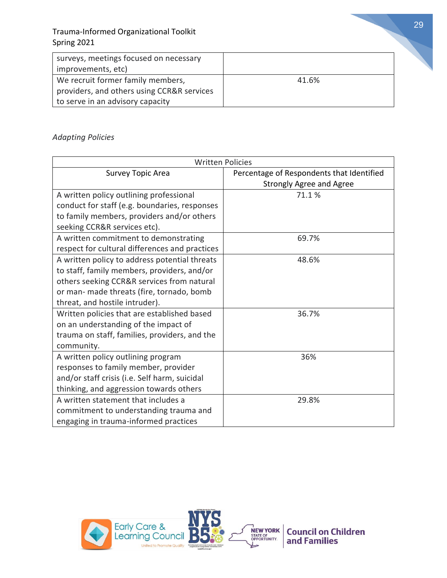| surveys, meetings focused on necessary     |       |
|--------------------------------------------|-------|
| improvements, etc)                         |       |
| We recruit former family members,          | 41.6% |
| providers, and others using CCR&R services |       |
| to serve in an advisory capacity           |       |

#### *Adapting Policies*

| <b>Written Policies</b>                        |                                           |
|------------------------------------------------|-------------------------------------------|
| <b>Survey Topic Area</b>                       | Percentage of Respondents that Identified |
|                                                | <b>Strongly Agree and Agree</b>           |
| A written policy outlining professional        | 71.1%                                     |
| conduct for staff (e.g. boundaries, responses  |                                           |
| to family members, providers and/or others     |                                           |
| seeking CCR&R services etc).                   |                                           |
| A written commitment to demonstrating          | 69.7%                                     |
| respect for cultural differences and practices |                                           |
| A written policy to address potential threats  | 48.6%                                     |
| to staff, family members, providers, and/or    |                                           |
| others seeking CCR&R services from natural     |                                           |
| or man- made threats (fire, tornado, bomb      |                                           |
| threat, and hostile intruder).                 |                                           |
| Written policies that are established based    | 36.7%                                     |
| on an understanding of the impact of           |                                           |
| trauma on staff, families, providers, and the  |                                           |
| community.                                     |                                           |
| A written policy outlining program             | 36%                                       |
| responses to family member, provider           |                                           |
| and/or staff crisis (i.e. Self harm, suicidal  |                                           |
| thinking, and aggression towards others        |                                           |
| A written statement that includes a            | 29.8%                                     |
| commitment to understanding trauma and         |                                           |
| engaging in trauma-informed practices          |                                           |



29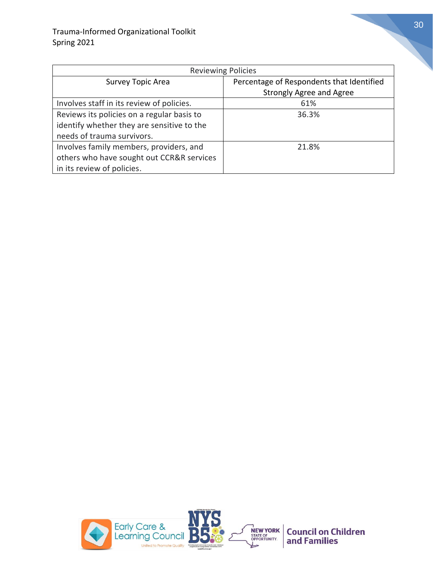| <b>Reviewing Policies</b>                  |                                           |
|--------------------------------------------|-------------------------------------------|
| Survey Topic Area                          | Percentage of Respondents that Identified |
|                                            | <b>Strongly Agree and Agree</b>           |
| Involves staff in its review of policies.  | 61%                                       |
| Reviews its policies on a regular basis to | 36.3%                                     |
| identify whether they are sensitive to the |                                           |
| needs of trauma survivors.                 |                                           |
| Involves family members, providers, and    | 21.8%                                     |
| others who have sought out CCR&R services  |                                           |
| in its review of policies.                 |                                           |